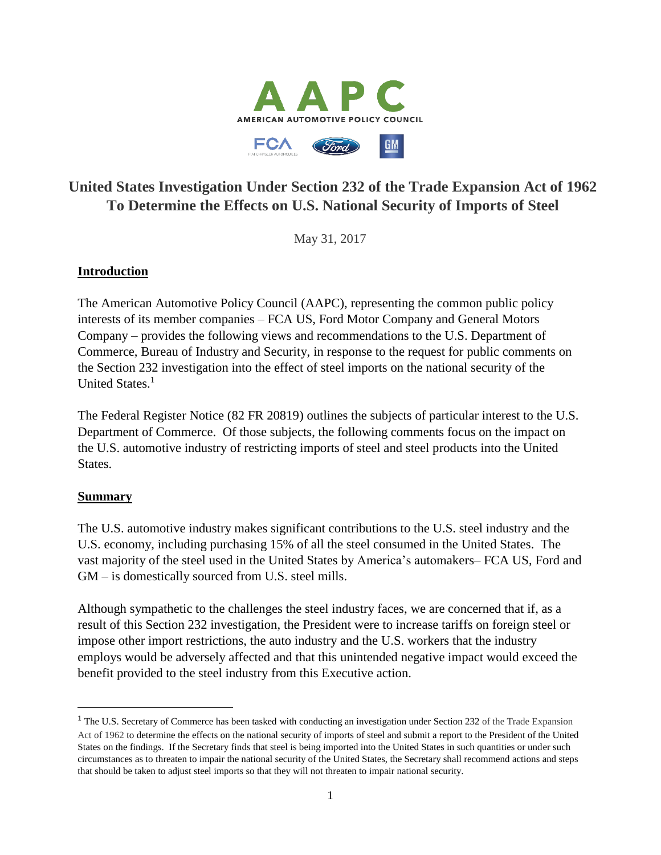

# **United States Investigation Under Section 232 of the Trade Expansion Act of 1962 To Determine the Effects on U.S. National Security of Imports of Steel**

May 31, 2017

# **Introduction**

The American Automotive Policy Council (AAPC), representing the common public policy interests of its member companies – FCA US, Ford Motor Company and General Motors Company – provides the following views and recommendations to the U.S. Department of Commerce, Bureau of Industry and Security, in response to the request for public comments on the Section 232 investigation into the effect of steel imports on the national security of the United States.<sup>1</sup>

The Federal Register Notice (82 FR 20819) outlines the subjects of particular interest to the U.S. Department of Commerce. Of those subjects, the following comments focus on the impact on the U.S. automotive industry of restricting imports of steel and steel products into the United States.

### **Summary**

 $\overline{\phantom{a}}$ 

The U.S. automotive industry makes significant contributions to the U.S. steel industry and the U.S. economy, including purchasing 15% of all the steel consumed in the United States. The vast majority of the steel used in the United States by America's automakers– FCA US, Ford and GM – is domestically sourced from U.S. steel mills.

Although sympathetic to the challenges the steel industry faces, we are concerned that if, as a result of this Section 232 investigation, the President were to increase tariffs on foreign steel or impose other import restrictions, the auto industry and the U.S. workers that the industry employs would be adversely affected and that this unintended negative impact would exceed the benefit provided to the steel industry from this Executive action.

<sup>&</sup>lt;sup>1</sup> The U.S. Secretary of Commerce has been tasked with conducting an investigation under Section 232 of the Trade Expansion Act of 1962 to determine the effects on the national security of imports of steel and submit a report to the President of the United States on the findings. If the Secretary finds that steel is being imported into the United States in such quantities or under such circumstances as to threaten to impair the national security of the United States, the Secretary shall recommend actions and steps that should be taken to adjust steel imports so that they will not threaten to impair national security.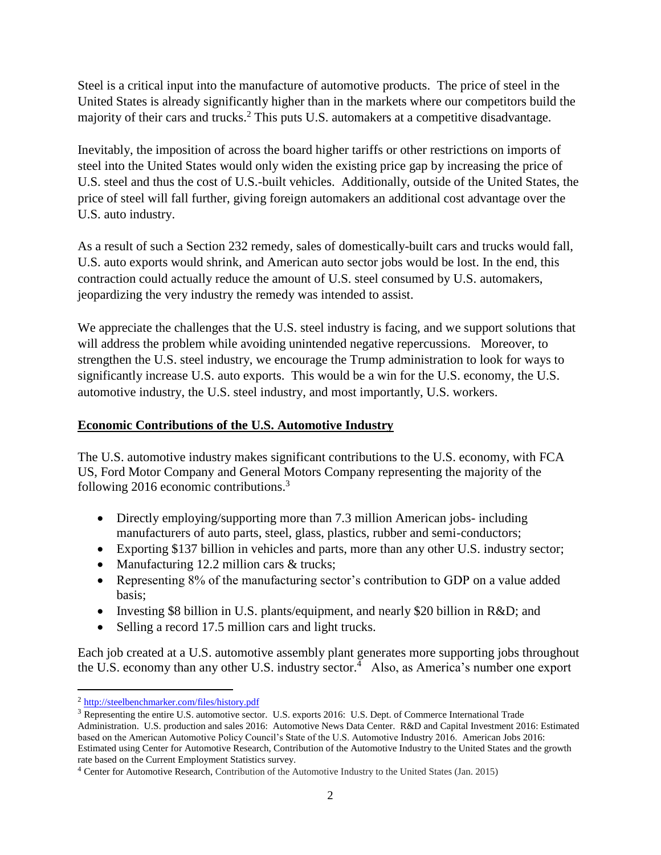Steel is a critical input into the manufacture of automotive products. The price of steel in the United States is already significantly higher than in the markets where our competitors build the majority of their cars and trucks.<sup>2</sup> This puts U.S. automakers at a competitive disadvantage.

Inevitably, the imposition of across the board higher tariffs or other restrictions on imports of steel into the United States would only widen the existing price gap by increasing the price of U.S. steel and thus the cost of U.S.-built vehicles. Additionally, outside of the United States, the price of steel will fall further, giving foreign automakers an additional cost advantage over the U.S. auto industry.

As a result of such a Section 232 remedy, sales of domestically-built cars and trucks would fall, U.S. auto exports would shrink, and American auto sector jobs would be lost. In the end, this contraction could actually reduce the amount of U.S. steel consumed by U.S. automakers, jeopardizing the very industry the remedy was intended to assist.

We appreciate the challenges that the U.S. steel industry is facing, and we support solutions that will address the problem while avoiding unintended negative repercussions. Moreover, to strengthen the U.S. steel industry, we encourage the Trump administration to look for ways to significantly increase U.S. auto exports. This would be a win for the U.S. economy, the U.S. automotive industry, the U.S. steel industry, and most importantly, U.S. workers.

# **Economic Contributions of the U.S. Automotive Industry**

The U.S. automotive industry makes significant contributions to the U.S. economy, with FCA US, Ford Motor Company and General Motors Company representing the majority of the following 2016 economic contributions.<sup>3</sup>

- Directly employing/supporting more than 7.3 million American jobs- including manufacturers of auto parts, steel, glass, plastics, rubber and semi-conductors;
- Exporting \$137 billion in vehicles and parts, more than any other U.S. industry sector;
- Manufacturing 12.2 million cars & trucks;
- Representing 8% of the manufacturing sector's contribution to GDP on a value added basis;
- Investing \$8 billion in U.S. plants/equipment, and nearly \$20 billion in R&D; and
- Selling a record 17.5 million cars and light trucks.

Each job created at a U.S. automotive assembly plant generates more supporting jobs throughout the U.S. economy than any other U.S. industry sector.<sup>4</sup> Also, as America's number one export

l

<sup>&</sup>lt;sup>2</sup> <http://steelbenchmarker.com/files/history.pdf>

<sup>3</sup> Representing the entire U.S. automotive sector. U.S. exports 2016: U.S. Dept. of Commerce International Trade Administration. U.S. production and sales 2016: Automotive News Data Center. R&D and Capital Investment 2016: Estimated based on the American Automotive Policy Council's State of the U.S. Automotive Industry 2016. American Jobs 2016: Estimated using Center for Automotive Research, Contribution of the Automotive Industry to the United States and the growth rate based on the Current Employment Statistics survey.

<sup>4</sup> Center for Automotive Research, Contribution of the Automotive Industry to the United States (Jan. 2015)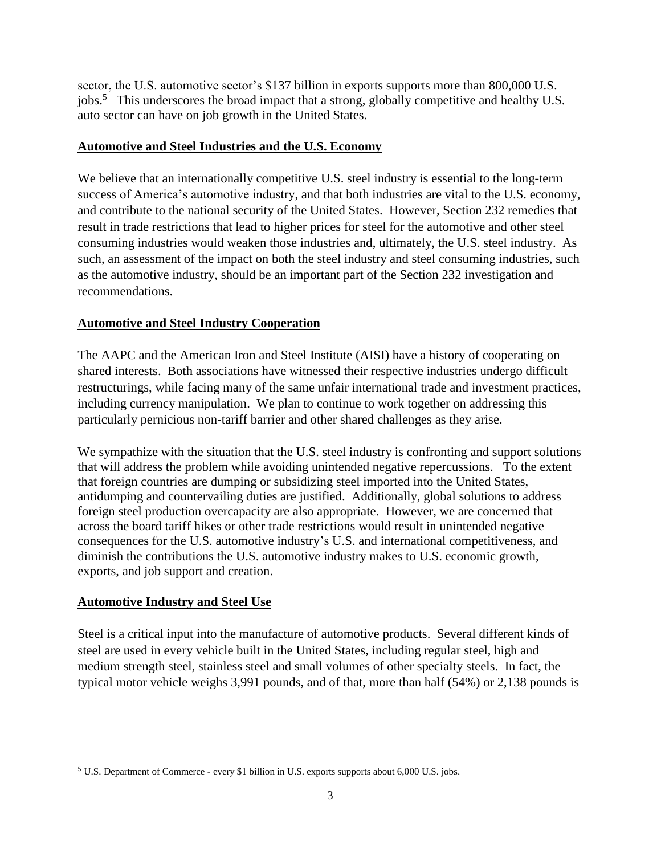sector, the U.S. automotive sector's \$137 billion in exports supports more than 800,000 U.S. jobs.<sup>5</sup> This underscores the broad impact that a strong, globally competitive and healthy U.S. auto sector can have on job growth in the United States.

### **Automotive and Steel Industries and the U.S. Economy**

We believe that an internationally competitive U.S. steel industry is essential to the long-term success of America's automotive industry, and that both industries are vital to the U.S. economy, and contribute to the national security of the United States. However, Section 232 remedies that result in trade restrictions that lead to higher prices for steel for the automotive and other steel consuming industries would weaken those industries and, ultimately, the U.S. steel industry. As such, an assessment of the impact on both the steel industry and steel consuming industries, such as the automotive industry, should be an important part of the Section 232 investigation and recommendations.

### **Automotive and Steel Industry Cooperation**

The AAPC and the American Iron and Steel Institute (AISI) have a history of cooperating on shared interests. Both associations have witnessed their respective industries undergo difficult restructurings, while facing many of the same unfair international trade and investment practices, including currency manipulation. We plan to continue to work together on addressing this particularly pernicious non-tariff barrier and other shared challenges as they arise.

We sympathize with the situation that the U.S. steel industry is confronting and support solutions that will address the problem while avoiding unintended negative repercussions. To the extent that foreign countries are dumping or subsidizing steel imported into the United States, antidumping and countervailing duties are justified. Additionally, global solutions to address foreign steel production overcapacity are also appropriate. However, we are concerned that across the board tariff hikes or other trade restrictions would result in unintended negative consequences for the U.S. automotive industry's U.S. and international competitiveness, and diminish the contributions the U.S. automotive industry makes to U.S. economic growth, exports, and job support and creation.

### **Automotive Industry and Steel Use**

 $\overline{\phantom{a}}$ 

Steel is a critical input into the manufacture of automotive products. Several different kinds of steel are used in every vehicle built in the United States, including regular steel, high and medium strength steel, stainless steel and small volumes of other specialty steels. In fact, the typical motor vehicle weighs 3,991 pounds, and of that, more than half (54%) or 2,138 pounds is

<sup>5</sup> U.S. Department of Commerce - every \$1 billion in U.S. exports supports about 6,000 U.S. jobs.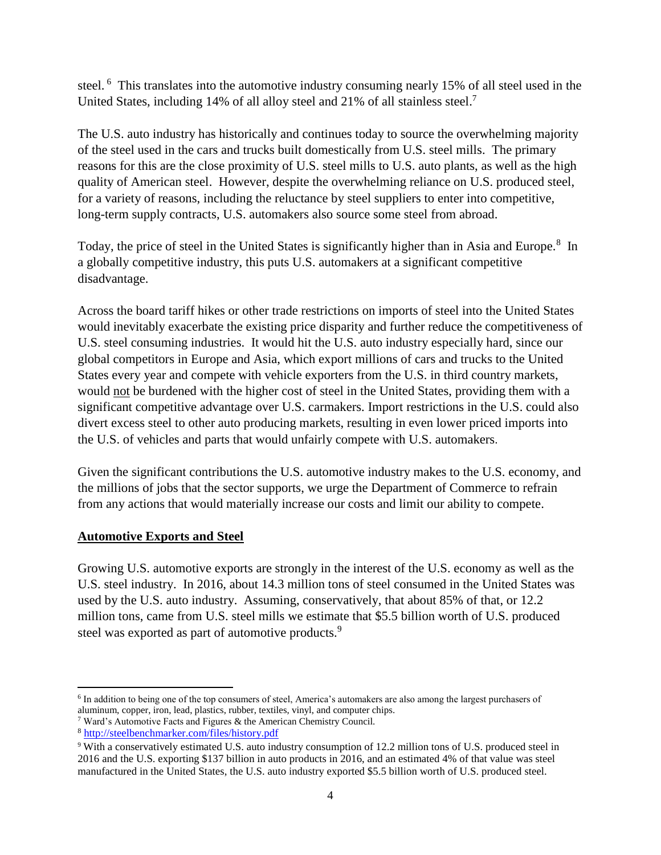steel. <sup>6</sup> This translates into the automotive industry consuming nearly 15% of all steel used in the United States, including 14% of all alloy steel and 21% of all stainless steel.<sup>7</sup>

The U.S. auto industry has historically and continues today to source the overwhelming majority of the steel used in the cars and trucks built domestically from U.S. steel mills. The primary reasons for this are the close proximity of U.S. steel mills to U.S. auto plants, as well as the high quality of American steel. However, despite the overwhelming reliance on U.S. produced steel, for a variety of reasons, including the reluctance by steel suppliers to enter into competitive, long-term supply contracts, U.S. automakers also source some steel from abroad.

Today, the price of steel in the United States is significantly higher than in Asia and Europe.<sup>8</sup> In a globally competitive industry, this puts U.S. automakers at a significant competitive disadvantage.

Across the board tariff hikes or other trade restrictions on imports of steel into the United States would inevitably exacerbate the existing price disparity and further reduce the competitiveness of U.S. steel consuming industries. It would hit the U.S. auto industry especially hard, since our global competitors in Europe and Asia, which export millions of cars and trucks to the United States every year and compete with vehicle exporters from the U.S. in third country markets, would not be burdened with the higher cost of steel in the United States, providing them with a significant competitive advantage over U.S. carmakers. Import restrictions in the U.S. could also divert excess steel to other auto producing markets, resulting in even lower priced imports into the U.S. of vehicles and parts that would unfairly compete with U.S. automakers.

Given the significant contributions the U.S. automotive industry makes to the U.S. economy, and the millions of jobs that the sector supports, we urge the Department of Commerce to refrain from any actions that would materially increase our costs and limit our ability to compete.

### **Automotive Exports and Steel**

Growing U.S. automotive exports are strongly in the interest of the U.S. economy as well as the U.S. steel industry. In 2016, about 14.3 million tons of steel consumed in the United States was used by the U.S. auto industry. Assuming, conservatively, that about 85% of that, or 12.2 million tons, came from U.S. steel mills we estimate that \$5.5 billion worth of U.S. produced steel was exported as part of automotive products.<sup>9</sup>

 $\overline{\phantom{a}}$ 

<sup>&</sup>lt;sup>6</sup> In addition to being one of the top consumers of steel, America's automakers are also among the largest purchasers of aluminum, copper, iron, lead, plastics, rubber, textiles, vinyl, and computer chips.

<sup>7</sup> Ward's Automotive Facts and Figures & the American Chemistry Council.

<sup>8</sup> <http://steelbenchmarker.com/files/history.pdf>

<sup>9</sup> With a conservatively estimated U.S. auto industry consumption of 12.2 million tons of U.S. produced steel in 2016 and the U.S. exporting \$137 billion in auto products in 2016, and an estimated 4% of that value was steel manufactured in the United States, the U.S. auto industry exported \$5.5 billion worth of U.S. produced steel.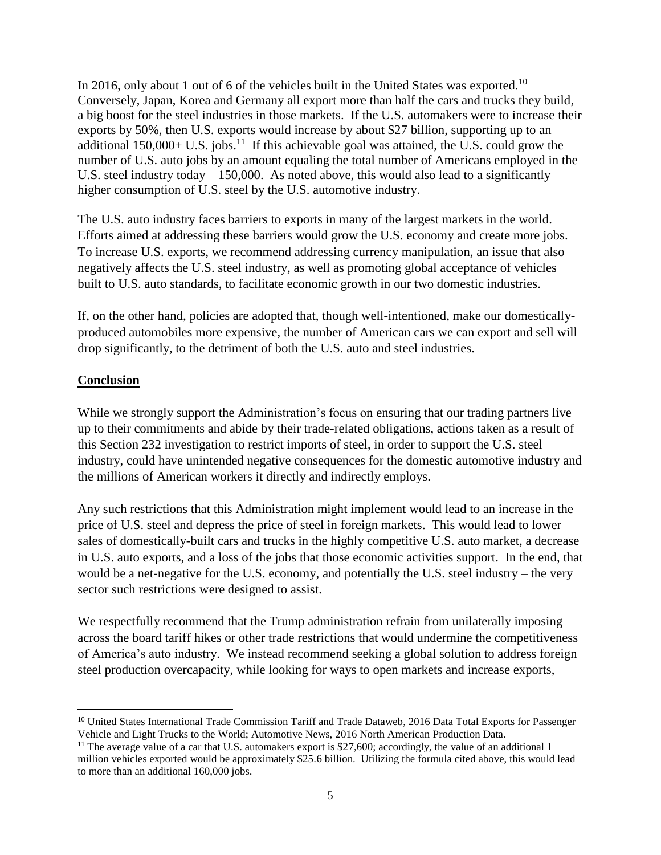In 2016, only about 1 out of 6 of the vehicles built in the United States was exported.<sup>10</sup> Conversely, Japan, Korea and Germany all export more than half the cars and trucks they build, a big boost for the steel industries in those markets. If the U.S. automakers were to increase their exports by 50%, then U.S. exports would increase by about \$27 billion, supporting up to an additional  $150,000+$  U.S. jobs.<sup>11</sup> If this achievable goal was attained, the U.S. could grow the number of U.S. auto jobs by an amount equaling the total number of Americans employed in the U.S. steel industry today – 150,000. As noted above, this would also lead to a significantly higher consumption of U.S. steel by the U.S. automotive industry.

The U.S. auto industry faces barriers to exports in many of the largest markets in the world. Efforts aimed at addressing these barriers would grow the U.S. economy and create more jobs. To increase U.S. exports, we recommend addressing currency manipulation, an issue that also negatively affects the U.S. steel industry, as well as promoting global acceptance of vehicles built to U.S. auto standards, to facilitate economic growth in our two domestic industries.

If, on the other hand, policies are adopted that, though well-intentioned, make our domesticallyproduced automobiles more expensive, the number of American cars we can export and sell will drop significantly, to the detriment of both the U.S. auto and steel industries.

### **Conclusion**

l

While we strongly support the Administration's focus on ensuring that our trading partners live up to their commitments and abide by their trade-related obligations, actions taken as a result of this Section 232 investigation to restrict imports of steel, in order to support the U.S. steel industry, could have unintended negative consequences for the domestic automotive industry and the millions of American workers it directly and indirectly employs.

Any such restrictions that this Administration might implement would lead to an increase in the price of U.S. steel and depress the price of steel in foreign markets. This would lead to lower sales of domestically-built cars and trucks in the highly competitive U.S. auto market, a decrease in U.S. auto exports, and a loss of the jobs that those economic activities support. In the end, that would be a net-negative for the U.S. economy, and potentially the U.S. steel industry – the very sector such restrictions were designed to assist.

We respectfully recommend that the Trump administration refrain from unilaterally imposing across the board tariff hikes or other trade restrictions that would undermine the competitiveness of America's auto industry. We instead recommend seeking a global solution to address foreign steel production overcapacity, while looking for ways to open markets and increase exports,

<sup>&</sup>lt;sup>10</sup> United States International Trade Commission Tariff and Trade Dataweb, 2016 Data Total Exports for Passenger Vehicle and Light Trucks to the World; Automotive News, 2016 North American Production Data.

<sup>&</sup>lt;sup>11</sup> The average value of a car that U.S. automakers export is \$27,600; accordingly, the value of an additional 1 million vehicles exported would be approximately \$25.6 billion. Utilizing the formula cited above, this would lead to more than an additional 160,000 jobs.